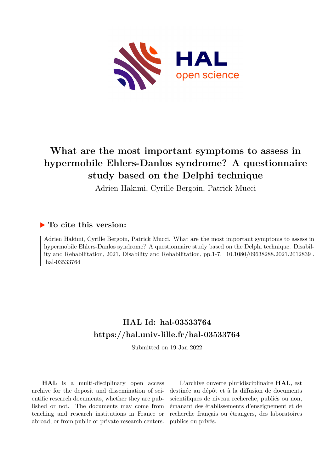

# **What are the most important symptoms to assess in hypermobile Ehlers-Danlos syndrome? A questionnaire study based on the Delphi technique**

Adrien Hakimi, Cyrille Bergoin, Patrick Mucci

# **To cite this version:**

Adrien Hakimi, Cyrille Bergoin, Patrick Mucci. What are the most important symptoms to assess in hypermobile Ehlers-Danlos syndrome? A questionnaire study based on the Delphi technique. Disability and Rehabilitation, 2021, Disability and Rehabilitation, pp.1-7.  $10.1080/09638288.2021.2012839$ . hal-03533764

# **HAL Id: hal-03533764 <https://hal.univ-lille.fr/hal-03533764>**

Submitted on 19 Jan 2022

**HAL** is a multi-disciplinary open access archive for the deposit and dissemination of scientific research documents, whether they are published or not. The documents may come from teaching and research institutions in France or abroad, or from public or private research centers.

L'archive ouverte pluridisciplinaire **HAL**, est destinée au dépôt et à la diffusion de documents scientifiques de niveau recherche, publiés ou non, émanant des établissements d'enseignement et de recherche français ou étrangers, des laboratoires publics ou privés.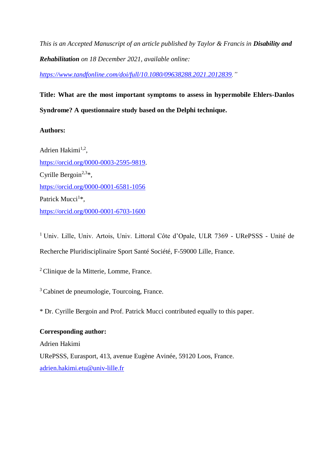*This is an Accepted Manuscript of an article published by Taylor & Francis in Disability and Rehabilitation on 18 December 2021, available online:* 

*[https://www.tandfonline.com/doi/full/10.1080/09638288.2021.2012839.](https://www.tandfonline.com/doi/full/10.1080/09638288.2021.2012839)"*

# **Title: What are the most important symptoms to assess in hypermobile Ehlers-Danlos Syndrome? A questionnaire study based on the Delphi technique.**

# **Authors:**

Adrien Hakimi<sup>1,2</sup>, [https://orcid.org/0000-0003-2595-9819.](https://orcid.org/0000-0003-2595-9819) Cyrille Bergoin<sup>2,3\*</sup>, <https://orcid.org/0000-0001-6581-1056> Patrick Mucci<sup>1\*</sup>, <https://orcid.org/0000-0001-6703-1600>

<sup>1</sup> Univ. Lille, Univ. Artois, Univ. Littoral Côte d'Opale, ULR 7369 - URePSSS - Unité de Recherche Pluridisciplinaire Sport Santé Société, F-59000 Lille, France.

<sup>2</sup>Clinique de la Mitterie, Lomme, France.

<sup>3</sup> Cabinet de pneumologie, Tourcoing, France.

\* Dr. Cyrille Bergoin and Prof. Patrick Mucci contributed equally to this paper.

# **Corresponding author:**

Adrien Hakimi URePSSS, Eurasport, 413, avenue Eugène Avinée, 59120 Loos, France. [adrien.hakimi.etu@univ-lille.fr](mailto:adrien.hakimi.etu@univ-lille.fr)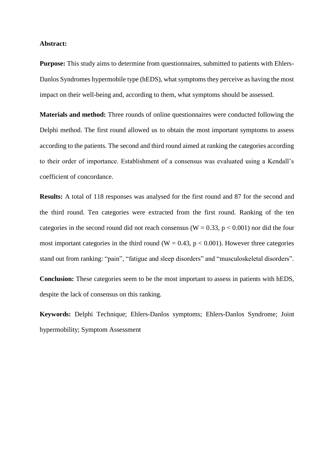#### **Abstract:**

**Purpose:** This study aims to determine from questionnaires, submitted to patients with Ehlers-Danlos Syndromes hypermobile type (hEDS), what symptoms they perceive as having the most impact on their well-being and, according to them, what symptoms should be assessed.

**Materials and method:** Three rounds of online questionnaires were conducted following the Delphi method. The first round allowed us to obtain the most important symptoms to assess according to the patients. The second and third round aimed at ranking the categories according to their order of importance. Establishment of a consensus was evaluated using a Kendall's coefficient of concordance.

**Results:** A total of 118 responses was analysed for the first round and 87 for the second and the third round. Ten categories were extracted from the first round. Ranking of the ten categories in the second round did not reach consensus ( $W = 0.33$ ,  $p < 0.001$ ) nor did the four most important categories in the third round ( $W = 0.43$ ,  $p < 0.001$ ). However three categories stand out from ranking: "pain", "fatigue and sleep disorders" and "musculoskeletal disorders".

**Conclusion:** These categories seem to be the most important to assess in patients with hEDS, despite the lack of consensus on this ranking.

**Keywords:** Delphi Technique; Ehlers-Danlos symptoms; Ehlers-Danlos Syndrome; Joint hypermobility; Symptom Assessment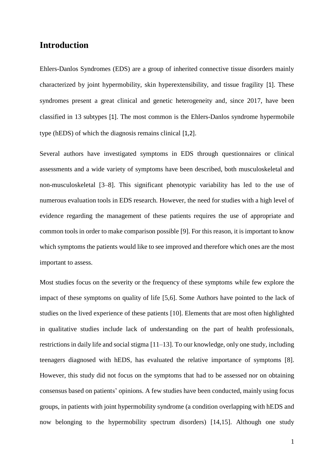# **Introduction**

Ehlers-Danlos Syndromes (EDS) are a group of inherited connective tissue disorders mainly characterized by joint hypermobility, skin hyperextensibility, and tissue fragility [1]. These syndromes present a great clinical and genetic heterogeneity and, since 2017, have been classified in 13 subtypes [1]. The most common is the Ehlers-Danlos syndrome hypermobile type (hEDS) of which the diagnosis remains clinical [1,2].

Several authors have investigated symptoms in EDS through questionnaires or clinical assessments and a wide variety of symptoms have been described, both musculoskeletal and non-musculoskeletal [3–8]. This significant phenotypic variability has led to the use of numerous evaluation tools in EDS research. However, the need for studies with a high level of evidence regarding the management of these patients requires the use of appropriate and common tools in order to make comparison possible [9]. For this reason, it is important to know which symptoms the patients would like to see improved and therefore which ones are the most important to assess.

Most studies focus on the severity or the frequency of these symptoms while few explore the impact of these symptoms on quality of life [5,6]. Some Authors have pointed to the lack of studies on the lived experience of these patients [10]. Elements that are most often highlighted in qualitative studies include lack of understanding on the part of health professionals, restrictions in daily life and social stigma [11–13]. To our knowledge, only one study, including teenagers diagnosed with hEDS, has evaluated the relative importance of symptoms [8]. However, this study did not focus on the symptoms that had to be assessed nor on obtaining consensus based on patients' opinions. A few studies have been conducted, mainly using focus groups, in patients with joint hypermobility syndrome (a condition overlapping with hEDS and now belonging to the hypermobility spectrum disorders) [14,15]. Although one study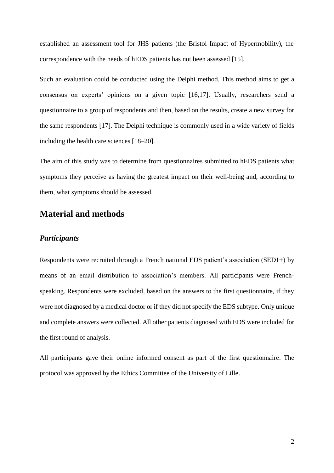established an assessment tool for JHS patients (the Bristol Impact of Hypermobility), the correspondence with the needs of hEDS patients has not been assessed [15].

Such an evaluation could be conducted using the Delphi method. This method aims to get a consensus on experts' opinions on a given topic [16,17]. Usually, researchers send a questionnaire to a group of respondents and then, based on the results, create a new survey for the same respondents [17]. The Delphi technique is commonly used in a wide variety of fields including the health care sciences [18–20].

The aim of this study was to determine from questionnaires submitted to hEDS patients what symptoms they perceive as having the greatest impact on their well-being and, according to them, what symptoms should be assessed.

# **Material and methods**

### *Participants*

Respondents were recruited through a French national EDS patient's association (SED1+) by means of an email distribution to association's members. All participants were Frenchspeaking. Respondents were excluded, based on the answers to the first questionnaire, if they were not diagnosed by a medical doctor or if they did not specify the EDS subtype. Only unique and complete answers were collected. All other patients diagnosed with EDS were included for the first round of analysis.

All participants gave their online informed consent as part of the first questionnaire. The protocol was approved by the Ethics Committee of the University of Lille.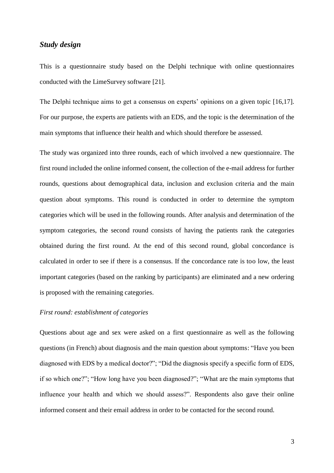## *Study design*

This is a questionnaire study based on the Delphi technique with online questionnaires conducted with the LimeSurvey software [21].

The Delphi technique aims to get a consensus on experts' opinions on a given topic [16,17]. For our purpose, the experts are patients with an EDS, and the topic is the determination of the main symptoms that influence their health and which should therefore be assessed.

The study was organized into three rounds, each of which involved a new questionnaire. The first round included the online informed consent, the collection of the e-mail address for further rounds, questions about demographical data, inclusion and exclusion criteria and the main question about symptoms. This round is conducted in order to determine the symptom categories which will be used in the following rounds. After analysis and determination of the symptom categories, the second round consists of having the patients rank the categories obtained during the first round. At the end of this second round, global concordance is calculated in order to see if there is a consensus. If the concordance rate is too low, the least important categories (based on the ranking by participants) are eliminated and a new ordering is proposed with the remaining categories.

### *First round: establishment of categories*

Questions about age and sex were asked on a first questionnaire as well as the following questions (in French) about diagnosis and the main question about symptoms: "Have you been diagnosed with EDS by a medical doctor?"; "Did the diagnosis specify a specific form of EDS, if so which one?"; "How long have you been diagnosed?"; "What are the main symptoms that influence your health and which we should assess?". Respondents also gave their online informed consent and their email address in order to be contacted for the second round.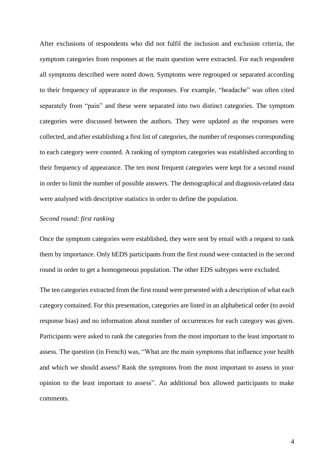After exclusions of respondents who did not fulfil the inclusion and exclusion criteria, the symptom categories from responses at the main question were extracted. For each respondent all symptoms described were noted down. Symptoms were regrouped or separated according to their frequency of appearance in the responses. For example, "headache" was often cited separately from "pain" and these were separated into two distinct categories. The symptom categories were discussed between the authors. They were updated as the responses were collected, and after establishing a first list of categories, the number of responses corresponding to each category were counted. A ranking of symptom categories was established according to their frequency of appearance. The ten most frequent categories were kept for a second round in order to limit the number of possible answers. The demographical and diagnosis-related data were analysed with descriptive statistics in order to define the population.

### *Second round: first ranking*

Once the symptom categories were established, they were sent by email with a request to rank them by importance. Only hEDS participants from the first round were contacted in the second round in order to get a homogeneous population. The other EDS subtypes were excluded.

The ten categories extracted from the first round were presented with a description of what each category contained. For this presentation, categories are listed in an alphabetical order (to avoid response bias) and no information about number of occurrences for each category was given. Participants were asked to rank the categories from the most important to the least important to assess. The question (in French) was, "What are the main symptoms that influence your health and which we should assess? Rank the symptoms from the most important to assess in your opinion to the least important to assess". An additional box allowed participants to make comments.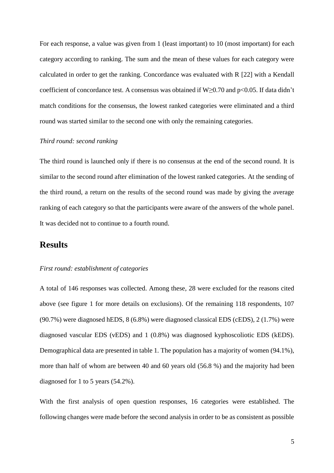For each response, a value was given from 1 (least important) to 10 (most important) for each category according to ranking. The sum and the mean of these values for each category were calculated in order to get the ranking. Concordance was evaluated with R [22] with a Kendall coefficient of concordance test. A consensus was obtained if W≥0.70 and p<0.05. If data didn't match conditions for the consensus, the lowest ranked categories were eliminated and a third round was started similar to the second one with only the remaining categories.

#### *Third round: second ranking*

The third round is launched only if there is no consensus at the end of the second round. It is similar to the second round after elimination of the lowest ranked categories. At the sending of the third round, a return on the results of the second round was made by giving the average ranking of each category so that the participants were aware of the answers of the whole panel. It was decided not to continue to a fourth round.

# **Results**

## *First round: establishment of categories*

A total of 146 responses was collected. Among these, 28 were excluded for the reasons cited above (see figure 1 for more details on exclusions). Of the remaining 118 respondents, 107 (90.7%) were diagnosed hEDS, 8 (6.8%) were diagnosed classical EDS (cEDS), 2 (1.7%) were diagnosed vascular EDS (vEDS) and 1 (0.8%) was diagnosed kyphoscoliotic EDS (kEDS). Demographical data are presented in table 1. The population has a majority of women (94.1%), more than half of whom are between 40 and 60 years old (56.8 %) and the majority had been diagnosed for 1 to 5 years (54.2%).

With the first analysis of open question responses, 16 categories were established. The following changes were made before the second analysis in order to be as consistent as possible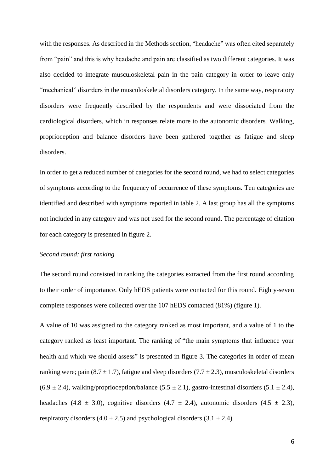with the responses. As described in the Methods section, "headache" was often cited separately from "pain" and this is why headache and pain are classified as two different categories. It was also decided to integrate musculoskeletal pain in the pain category in order to leave only "mechanical" disorders in the musculoskeletal disorders category. In the same way, respiratory disorders were frequently described by the respondents and were dissociated from the cardiological disorders, which in responses relate more to the autonomic disorders. Walking, proprioception and balance disorders have been gathered together as fatigue and sleep disorders.

In order to get a reduced number of categories for the second round, we had to select categories of symptoms according to the frequency of occurrence of these symptoms. Ten categories are identified and described with symptoms reported in table 2. A last group has all the symptoms not included in any category and was not used for the second round. The percentage of citation for each category is presented in figure 2.

#### *Second round: first ranking*

The second round consisted in ranking the categories extracted from the first round according to their order of importance. Only hEDS patients were contacted for this round. Eighty-seven complete responses were collected over the 107 hEDS contacted (81%) (figure 1).

A value of 10 was assigned to the category ranked as most important, and a value of 1 to the category ranked as least important. The ranking of "the main symptoms that influence your health and which we should assess" is presented in figure 3. The categories in order of mean ranking were; pain  $(8.7 \pm 1.7)$ , fatigue and sleep disorders  $(7.7 \pm 2.3)$ , musculoskeletal disorders  $(6.9 \pm 2.4)$ , walking/proprioception/balance  $(5.5 \pm 2.1)$ , gastro-intestinal disorders  $(5.1 \pm 2.4)$ , headaches (4.8  $\pm$  3.0), cognitive disorders (4.7  $\pm$  2.4), autonomic disorders (4.5  $\pm$  2.3), respiratory disorders  $(4.0 \pm 2.5)$  and psychological disorders  $(3.1 \pm 2.4)$ .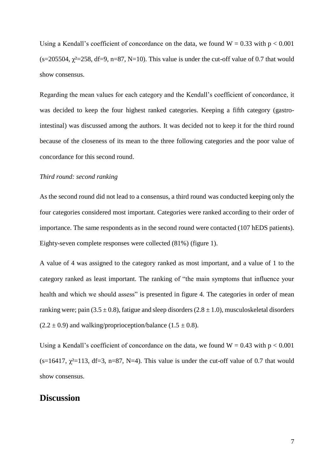Using a Kendall's coefficient of concordance on the data, we found  $W = 0.33$  with  $p < 0.001$ (s=205504,  $\chi^2$ =258, df=9, n=87, N=10). This value is under the cut-off value of 0.7 that would show consensus.

Regarding the mean values for each category and the Kendall's coefficient of concordance, it was decided to keep the four highest ranked categories. Keeping a fifth category (gastrointestinal) was discussed among the authors. It was decided not to keep it for the third round because of the closeness of its mean to the three following categories and the poor value of concordance for this second round.

#### *Third round: second ranking*

As the second round did not lead to a consensus, a third round was conducted keeping only the four categories considered most important. Categories were ranked according to their order of importance. The same respondents as in the second round were contacted (107 hEDS patients). Eighty-seven complete responses were collected (81%) (figure 1).

A value of 4 was assigned to the category ranked as most important, and a value of 1 to the category ranked as least important. The ranking of "the main symptoms that influence your health and which we should assess" is presented in figure 4. The categories in order of mean ranking were; pain (3.5  $\pm$  0.8), fatigue and sleep disorders (2.8  $\pm$  1.0), musculoskeletal disorders  $(2.2 \pm 0.9)$  and walking/proprioception/balance  $(1.5 \pm 0.8)$ .

Using a Kendall's coefficient of concordance on the data, we found  $W = 0.43$  with  $p < 0.001$ (s=16417,  $\chi^2$ =113, df=3, n=87, N=4). This value is under the cut-off value of 0.7 that would show consensus.

# **Discussion**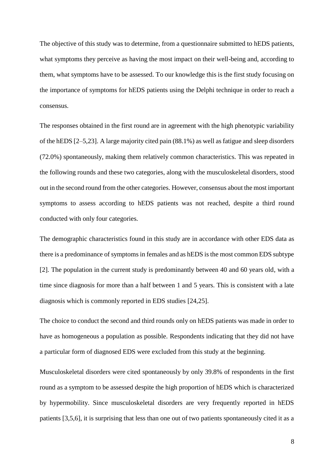The objective of this study was to determine, from a questionnaire submitted to hEDS patients, what symptoms they perceive as having the most impact on their well-being and, according to them, what symptoms have to be assessed. To our knowledge this is the first study focusing on the importance of symptoms for hEDS patients using the Delphi technique in order to reach a consensus.

The responses obtained in the first round are in agreement with the high phenotypic variability of the hEDS [2–5,23]. A large majority cited pain (88.1%) as well as fatigue and sleep disorders (72.0%) spontaneously, making them relatively common characteristics. This was repeated in the following rounds and these two categories, along with the musculoskeletal disorders, stood out in the second round from the other categories. However, consensus about the most important symptoms to assess according to hEDS patients was not reached, despite a third round conducted with only four categories.

The demographic characteristics found in this study are in accordance with other EDS data as there is a predominance of symptoms in females and as hEDS is the most common EDS subtype [2]. The population in the current study is predominantly between 40 and 60 years old, with a time since diagnosis for more than a half between 1 and 5 years. This is consistent with a late diagnosis which is commonly reported in EDS studies [24,25].

The choice to conduct the second and third rounds only on hEDS patients was made in order to have as homogeneous a population as possible. Respondents indicating that they did not have a particular form of diagnosed EDS were excluded from this study at the beginning.

Musculoskeletal disorders were cited spontaneously by only 39.8% of respondents in the first round as a symptom to be assessed despite the high proportion of hEDS which is characterized by hypermobility. Since musculoskeletal disorders are very frequently reported in hEDS patients [3,5,6], it is surprising that less than one out of two patients spontaneously cited it as a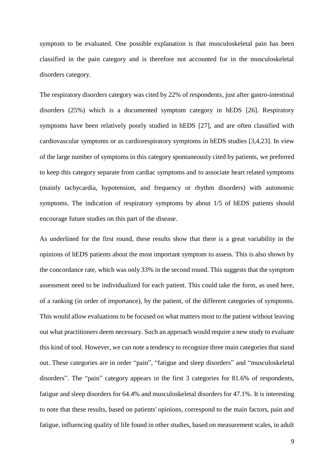symptom to be evaluated. One possible explanation is that musculoskeletal pain has been classified in the pain category and is therefore not accounted for in the musculoskeletal disorders category.

The respiratory disorders category was cited by 22% of respondents, just after gastro-intestinal disorders (25%) which is a documented symptom category in hEDS [26]. Respiratory symptoms have been relatively poorly studied in hEDS [27], and are often classified with cardiovascular symptoms or as cardiorespiratory symptoms in hEDS studies [3,4,23]. In view of the large number of symptoms in this category spontaneously cited by patients, we preferred to keep this category separate from cardiac symptoms and to associate heart related symptoms (mainly tachycardia, hypotension, and frequency or rhythm disorders) with autonomic symptoms. The indication of respiratory symptoms by about 1/5 of hEDS patients should encourage future studies on this part of the disease.

As underlined for the first round, these results show that there is a great variability in the opinions of hEDS patients about the most important symptom to assess. This is also shown by the concordance rate, which was only 33% in the second round. This suggests that the symptom assessment need to be individualized for each patient. This could take the form, as used here, of a ranking (in order of importance), by the patient, of the different categories of symptoms. This would allow evaluations to be focused on what matters most to the patient without leaving out what practitioners deem necessary. Such an approach would require a new study to evaluate this kind of tool. However, we can note a tendency to recognize three main categories that stand out. These categories are in order "pain", "fatigue and sleep disorders" and "musculoskeletal disorders". The "pain" category appears in the first 3 categories for 81.6% of respondents, fatigue and sleep disorders for 64.4% and musculoskeletal disorders for 47.1%. It is interesting to note that these results, based on patients' opinions, correspond to the main factors, pain and fatigue, influencing quality of life found in other studies, based on measurement scales, in adult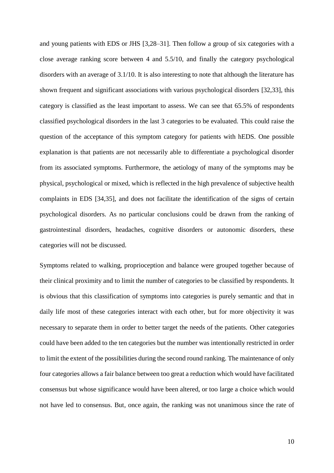and young patients with EDS or JHS [3,28–31]. Then follow a group of six categories with a close average ranking score between 4 and 5.5/10, and finally the category psychological disorders with an average of 3.1/10. It is also interesting to note that although the literature has shown frequent and significant associations with various psychological disorders [32,33], this category is classified as the least important to assess. We can see that 65.5% of respondents classified psychological disorders in the last 3 categories to be evaluated. This could raise the question of the acceptance of this symptom category for patients with hEDS. One possible explanation is that patients are not necessarily able to differentiate a psychological disorder from its associated symptoms. Furthermore, the aetiology of many of the symptoms may be physical, psychological or mixed, which is reflected in the high prevalence of subjective health complaints in EDS [34,35], and does not facilitate the identification of the signs of certain psychological disorders. As no particular conclusions could be drawn from the ranking of gastrointestinal disorders, headaches, cognitive disorders or autonomic disorders, these categories will not be discussed.

Symptoms related to walking, proprioception and balance were grouped together because of their clinical proximity and to limit the number of categories to be classified by respondents. It is obvious that this classification of symptoms into categories is purely semantic and that in daily life most of these categories interact with each other, but for more objectivity it was necessary to separate them in order to better target the needs of the patients. Other categories could have been added to the ten categories but the number was intentionally restricted in order to limit the extent of the possibilities during the second round ranking. The maintenance of only four categories allows a fair balance between too great a reduction which would have facilitated consensus but whose significance would have been altered, or too large a choice which would not have led to consensus. But, once again, the ranking was not unanimous since the rate of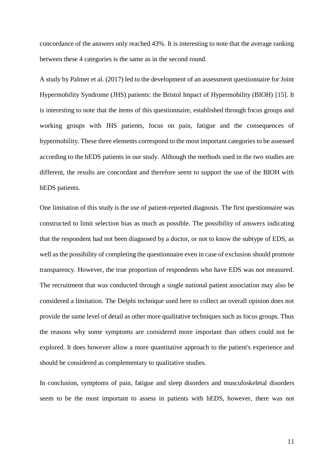concordance of the answers only reached 43%. It is interesting to note that the average ranking between these 4 categories is the same as in the second round.

A study by Palmer et al. (2017) led to the development of an assessment questionnaire for Joint Hypermobility Syndrome (JHS) patients: the Bristol Impact of Hypermobility (BIOH) [15]. It is interesting to note that the items of this questionnaire, established through focus groups and working groups with JHS patients, focus on pain, fatigue and the consequences of hypermobility. These three elements correspond to the most important categories to be assessed according to the hEDS patients in our study. Although the methods used in the two studies are different, the results are concordant and therefore seem to support the use of the BIOH with hEDS patients.

One limitation of this study is the use of patient-reported diagnosis. The first questionnaire was constructed to limit selection bias as much as possible. The possibility of answers indicating that the respondent had not been diagnosed by a doctor, or not to know the subtype of EDS, as well as the possibility of completing the questionnaire even in case of exclusion should promote transparency. However, the true proportion of respondents who have EDS was not measured. The recruitment that was conducted through a single national patient association may also be considered a limitation. The Delphi technique used here to collect an overall opinion does not provide the same level of detail as other more qualitative techniques such as focus groups. Thus the reasons why some symptoms are considered more important than others could not be explored. It does however allow a more quantitative approach to the patient's experience and should be considered as complementary to qualitative studies.

In conclusion, symptoms of pain, fatigue and sleep disorders and musculoskeletal disorders seem to be the most important to assess in patients with hEDS, however, there was not

11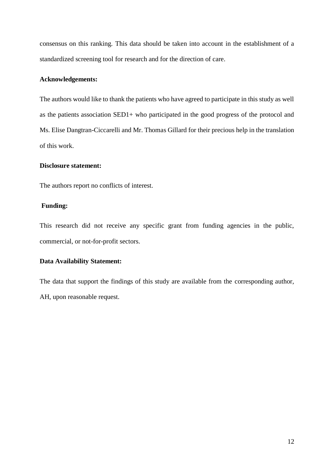consensus on this ranking. This data should be taken into account in the establishment of a standardized screening tool for research and for the direction of care.

## **Acknowledgements:**

The authors would like to thank the patients who have agreed to participate in this study as well as the patients association SED1+ who participated in the good progress of the protocol and Ms. Elise Dangtran-Ciccarelli and Mr. Thomas Gillard for their precious help in the translation of this work.

## **Disclosure statement:**

The authors report no conflicts of interest.

### **Funding:**

This research did not receive any specific grant from funding agencies in the public, commercial, or not-for-profit sectors.

## **Data Availability Statement:**

The data that support the findings of this study are available from the corresponding author, AH, upon reasonable request.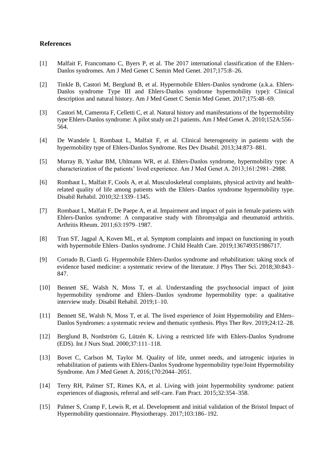#### **References**

- [1] Malfait F, Francomano C, Byers P, et al. The 2017 international classification of the Ehlers-Danlos syndromes. Am J Med Genet C Semin Med Genet. 2017;175:8–26.
- [2] Tinkle B, Castori M, Berglund B, et al. Hypermobile Ehlers-Danlos syndrome (a.k.a. Ehlers-Danlos syndrome Type III and Ehlers-Danlos syndrome hypermobility type): Clinical description and natural history. Am J Med Genet C Semin Med Genet. 2017;175:48–69.
- [3] Castori M, Camerota F, Celletti C, et al. Natural history and manifestations of the hypermobility type Ehlers-Danlos syndrome: A pilot study on 21 patients. Am J Med Genet A. 2010;152A:556– 564.
- [4] De Wandele I, Rombaut L, Malfait F, et al. Clinical heterogeneity in patients with the hypermobility type of Ehlers-Danlos Syndrome. Res Dev Disabil. 2013;34:873–881.
- [5] Murray B, Yashar BM, Uhlmann WR, et al. Ehlers-Danlos syndrome, hypermobility type: A characterization of the patients' lived experience. Am J Med Genet A. 2013;161:2981–2988.
- [6] Rombaut L, Malfait F, Cools A, et al. Musculoskeletal complaints, physical activity and healthrelated quality of life among patients with the Ehlers–Danlos syndrome hypermobility type. Disabil Rehabil. 2010;32:1339–1345.
- [7] Rombaut L, Malfait F, De Paepe A, et al. Impairment and impact of pain in female patients with Ehlers-Danlos syndrome: A comparative study with fibromyalgia and rheumatoid arthritis. Arthritis Rheum. 2011;63:1979–1987.
- [8] Tran ST, Jagpal A, Koven ML, et al. Symptom complaints and impact on functioning in youth with hypermobile Ehlers–Danlos syndrome. J Child Health Care. 2019;136749351986717.
- [9] Corrado B, Ciardi G. Hypermobile Ehlers-Danlos syndrome and rehabilitation: taking stock of evidence based medicine: a systematic review of the literature. J Phys Ther Sci. 2018;30:843– 847.
- [10] Bennett SE, Walsh N, Moss T, et al. Understanding the psychosocial impact of joint hypermobility syndrome and Ehlers–Danlos syndrome hypermobility type: a qualitative interview study. Disabil Rehabil. 2019;1–10.
- [11] Bennett SE, Walsh N, Moss T, et al. The lived experience of Joint Hypermobility and Ehlers-Danlos Syndromes: a systematic review and thematic synthesis. Phys Ther Rev. 2019;24:12–28.
- [12] Berglund B, Nordström G, Lützén K. Living a restricted life with Ehlers-Danlos Syndrome (EDS). Int J Nurs Stud. 2000;37:111–118.
- [13] Bovet C, Carlson M, Taylor M. Quality of life, unmet needs, and iatrogenic injuries in rehabilitation of patients with Ehlers-Danlos Syndrome hypermobility type/Joint Hypermobility Syndrome. Am J Med Genet A. 2016;170:2044–2051.
- [14] Terry RH, Palmer ST, Rimes KA, et al. Living with joint hypermobility syndrome: patient experiences of diagnosis, referral and self-care. Fam Pract. 2015;32:354–358.
- [15] Palmer S, Cramp F, Lewis R, et al. Development and initial validation of the Bristol Impact of Hypermobility questionnaire. Physiotherapy. 2017;103:186–192.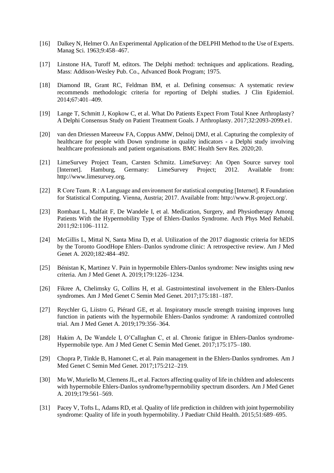- [16] Dalkey N, Helmer O. An Experimental Application of the DELPHI Method to the Use of Experts. Manag Sci. 1963;9:458–467.
- [17] Linstone HA, Turoff M, editors. The Delphi method: techniques and applications. Reading, Mass: Addison-Wesley Pub. Co., Advanced Book Program; 1975.
- [18] Diamond IR, Grant RC, Feldman BM, et al. Defining consensus: A systematic review recommends methodologic criteria for reporting of Delphi studies. J Clin Epidemiol. 2014;67:401–409.
- [19] Lange T, Schmitt J, Kopkow C, et al. What Do Patients Expect From Total Knee Arthroplasty? A Delphi Consensus Study on Patient Treatment Goals. J Arthroplasty. 2017;32:2093-2099.e1.
- [20] van den Driessen Mareeuw FA, Coppus AMW, Delnoij DMJ, et al. Capturing the complexity of healthcare for people with Down syndrome in quality indicators - a Delphi study involving healthcare professionals and patient organisations. BMC Health Serv Res. 2020;20.
- [21] LimeSurvey Project Team, Carsten Schmitz. LimeSurvey: An Open Source survey tool [Internet]. Hamburg, Germany: LimeSurvey Project; 2012. Available from: http://www.limesurvey.org.
- [22] R Core Team. R : A Language and environment for statistical computing [Internet]. R Foundation for Statistical Computing. Vienna, Austria; 2017. Available from: http://www.R-project.org/.
- [23] Rombaut L, Malfait F, De Wandele I, et al. Medication, Surgery, and Physiotherapy Among Patients With the Hypermobility Type of Ehlers-Danlos Syndrome. Arch Phys Med Rehabil. 2011;92:1106–1112.
- [24] McGillis L, Mittal N, Santa Mina D, et al. Utilization of the 2017 diagnostic criteria for hEDS by the Toronto GoodHope Ehlers–Danlos syndrome clinic: A retrospective review. Am J Med Genet A. 2020;182:484–492.
- [25] Bénistan K, Martinez V. Pain in hypermobile Ehlers-Danlos syndrome: New insights using new criteria. Am J Med Genet A. 2019;179:1226–1234.
- [26] Fikree A, Chelimsky G, Collins H, et al. Gastrointestinal involvement in the Ehlers-Danlos syndromes. Am J Med Genet C Semin Med Genet. 2017;175:181–187.
- [27] Reychler G, Liistro G, Piérard GE, et al. Inspiratory muscle strength training improves lung function in patients with the hypermobile Ehlers-Danlos syndrome: A randomized controlled trial. Am J Med Genet A. 2019;179:356–364.
- [28] Hakim A, De Wandele I, O'Callaghan C, et al. Chronic fatigue in Ehlers-Danlos syndrome-Hypermobile type. Am J Med Genet C Semin Med Genet. 2017;175:175–180.
- [29] Chopra P, Tinkle B, Hamonet C, et al. Pain management in the Ehlers-Danlos syndromes. Am J Med Genet C Semin Med Genet. 2017;175:212–219.
- [30] Mu W, Muriello M, Clemens JL, et al. Factors affecting quality of life in children and adolescents with hypermobile Ehlers-Danlos syndrome/hypermobility spectrum disorders. Am J Med Genet A. 2019;179:561–569.
- [31] Pacey V, Tofts L, Adams RD, et al. Quality of life prediction in children with joint hypermobility syndrome: Quality of life in youth hypermobility. J Paediatr Child Health. 2015;51:689–695.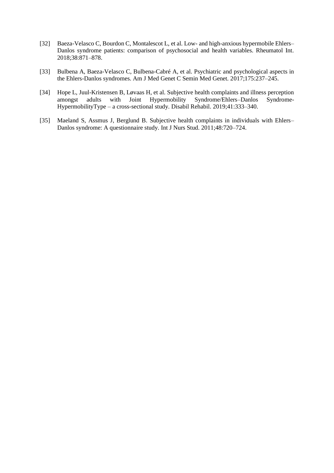- [32] Baeza-Velasco C, Bourdon C, Montalescot L, et al. Low- and high-anxious hypermobile Ehlers– Danlos syndrome patients: comparison of psychosocial and health variables. Rheumatol Int. 2018;38:871–878.
- [33] Bulbena A, Baeza-Velasco C, Bulbena-Cabré A, et al. Psychiatric and psychological aspects in the Ehlers-Danlos syndromes. Am J Med Genet C Semin Med Genet. 2017;175:237–245.
- [34] Hope L, Juul-Kristensen B, Løvaas H, et al. Subjective health complaints and illness perception amongst adults with Joint Hypermobility Syndrome/Ehlers–Danlos Syndrome-HypermobilityType – a cross-sectional study. Disabil Rehabil. 2019;41:333–340.
- [35] Maeland S, Assmus J, Berglund B. Subjective health complaints in individuals with Ehlers– Danlos syndrome: A questionnaire study. Int J Nurs Stud. 2011;48:720–724.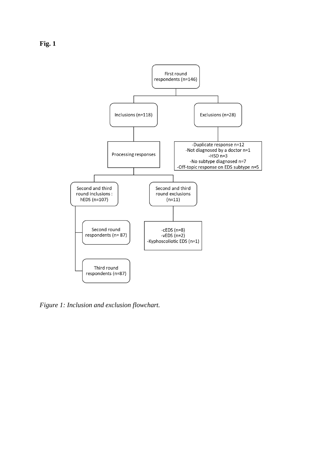



*Figure 1: Inclusion and exclusion flowchart.*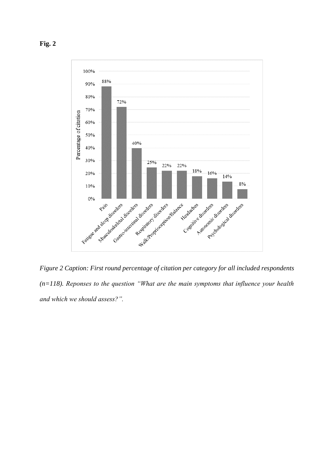

*Figure 2 Caption: First round percentage of citation per category for all included respondents (n=118). Reponses to the question "What are the main symptoms that influence your health and which we should assess?".*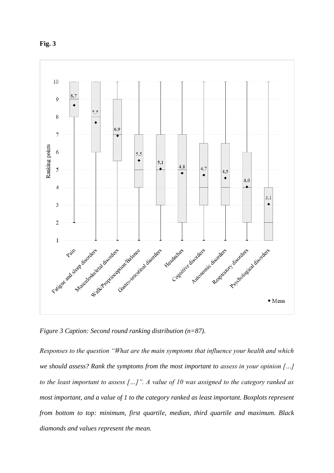



*Figure 3 Caption: Second round ranking distribution (n=87).*

*Responses to the question "What are the main symptoms that influence your health and which we should assess? Rank the symptoms from the most important to assess in your opinion […] to the least important to assess […]". A value of 10 was assigned to the category ranked as most important, and a value of 1 to the category ranked as least important. Boxplots represent from bottom to top: minimum, first quartile, median, third quartile and maximum. Black diamonds and values represent the mean.*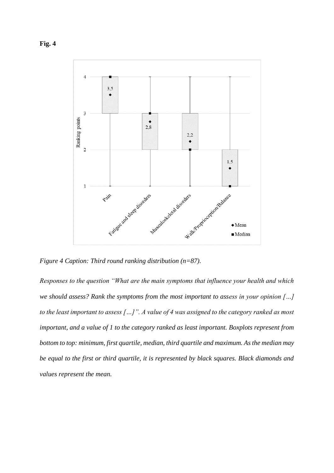

*Figure 4 Caption: Third round ranking distribution (n=87).* 

*Responses to the question "What are the main symptoms that influence your health and which we should assess? Rank the symptoms from the most important to assess in your opinion […] to the least important to assess […]". A value of 4 was assigned to the category ranked as most important, and a value of 1 to the category ranked as least important. Boxplots represent from bottom to top: minimum, first quartile, median, third quartile and maximum. As the median may be equal to the first or third quartile, it is represented by black squares. Black diamonds and values represent the mean.*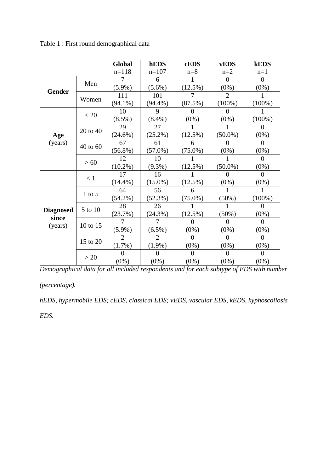|                                      |          | Global         | hEDS                        | <b>cEDS</b> | <b>vEDS</b> | <b>kEDS</b>  |
|--------------------------------------|----------|----------------|-----------------------------|-------------|-------------|--------------|
|                                      |          | $n=118$        | $n=107$                     | $n=8$       | $n=2$       | $n=1$        |
| Gender                               | Men      |                | 6                           |             | $\Omega$    | 0            |
|                                      |          | $(5.9\%)$      | $(5.6\%)$                   | $(12.5\%)$  | $(0\%)$     | $(0\%)$      |
|                                      | Women    | 111            | 101                         |             |             |              |
|                                      |          | $(94.1\%)$     | $(94.4\%)$                  | (87.5%)     | $(100\%)$   | $(100\%)$    |
| Age<br>(years)                       | < 20     | 10             | 9                           | 0           | 0           |              |
|                                      |          | $(8.5\%)$      | $(8.4\%)$                   | $(0\%)$     | $(0\%)$     | $(100\%)$    |
|                                      | 20 to 40 | 29             | 27                          |             |             | 0            |
|                                      |          | $(24.6\%)$     | $(25.2\%)$                  | $(12.5\%)$  | $(50.0\%)$  | $(0\%)$      |
|                                      | 40 to 60 | 67             | 61                          | 6           | 0           | 0            |
|                                      |          | $(56.8\%)$     | $(57.0\%)$                  | $(75.0\%)$  | $(0\%)$     | $(0\%)$      |
|                                      | >60      | 12             | 10                          |             |             | 0            |
|                                      |          | $(10.2\%)$     | $(9.3\%)$                   | $(12.5\%)$  | $(50.0\%)$  | $(0\%)$      |
| <b>Diagnosed</b><br>since<br>(years) | $\leq 1$ | 17             | 16                          |             | $\theta$    | $\theta$     |
|                                      |          | $(14.4\%)$     | $(15.0\%)$                  | $(12.5\%)$  | $(0\%)$     | $(0\%)$      |
|                                      | $1$ to 5 | 64             | 56                          | 6           | 1           | 1            |
|                                      |          | $(54.2\%)$     | $(52.3\%)$                  | $(75.0\%)$  | $(50\%)$    | $(100\%)$    |
|                                      | 5 to 10  | 28             | 26                          |             |             | 0            |
|                                      |          | (23.7%)        | $(24.3\%)$                  | $(12.5\%)$  | $(50\%)$    | $(0\%)$      |
|                                      | 10 to 15 |                | 7                           | 0           | 0           | $\mathbf{0}$ |
|                                      |          | $(5.9\%)$      | $(6.5\%)$                   | $(0\%)$     | $(0\%)$     | $(0\%)$      |
|                                      | 15 to 20 | $\overline{2}$ | $\mathcal{D}_{\mathcal{L}}$ | $\Omega$    | 0           | 0            |
|                                      |          | (1.7%)         | $(1.9\%)$                   | $(0\%)$     | $(0\%)$     | $(0\%)$      |
|                                      | >20      | 0              | $\Omega$                    | $\Omega$    | 0           | 0            |
|                                      |          | $(0\%)$        | $(0\%)$                     | $(0\%)$     | $(0\%)$     | $(0\%)$      |

Table 1 : First round demographical data

*Demographical data for all included respondents and for each subtype of EDS with number* 

*(percentage).*

*hEDS, hypermobile EDS; cEDS, classical EDS; vEDS, vascular EDS, kEDS, kyphoscoliosis* 

*EDS.*